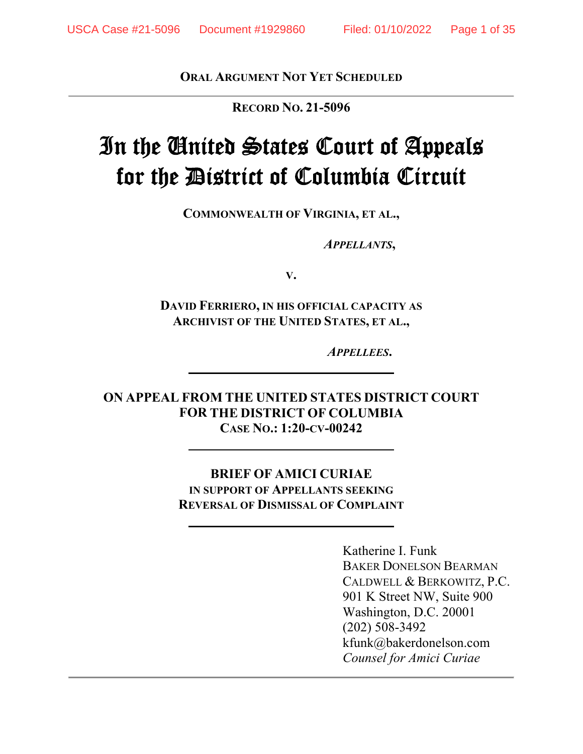**ORAL ARGUMENT NOT YET SCHEDULED**

**RECORD NO. 21-5096** 

# In the United States Court of Appeals for the District of Columbia Circuit

**COMMONWEALTH OF VIRGINIA, ET AL.,** 

 *APPELLANTS***,** 

**V.** 

**DAVID FERRIERO, IN HIS OFFICIAL CAPACITY AS ARCHIVIST OF THE UNITED STATES, ET AL.,** 

 *APPELLEES***.** 

**ON APPEAL FROM THE UNITED STATES DISTRICT COURT FOR THE DISTRICT OF COLUMBIA CASE NO.: 1:20-CV-00242** 

> **BRIEF OF AMICI CURIAE IN SUPPORT OF APPELLANTS SEEKING REVERSAL OF DISMISSAL OF COMPLAINT**

> > Katherine I. Funk BAKER DONELSON BEARMAN CALDWELL & BERKOWITZ, P.C. 901 K Street NW, Suite 900 Washington, D.C. 20001 (202) 508-3492 kfunk@bakerdonelson.com *Counsel for Amici Curiae*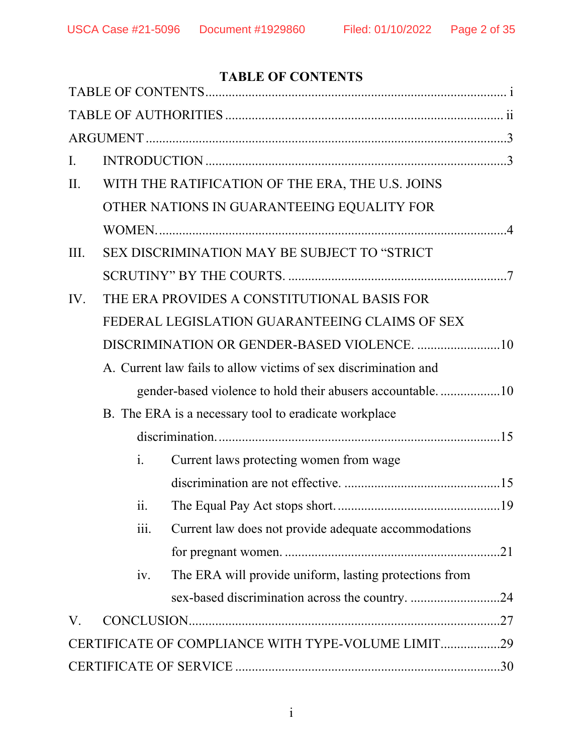# **TABLE OF CONTENTS**

| $\mathbf{I}$ . |  |                |                                                                 |  |  |  |
|----------------|--|----------------|-----------------------------------------------------------------|--|--|--|
| II.            |  |                | WITH THE RATIFICATION OF THE ERA, THE U.S. JOINS                |  |  |  |
|                |  |                | OTHER NATIONS IN GUARANTEEING EQUALITY FOR                      |  |  |  |
|                |  |                |                                                                 |  |  |  |
| III.           |  |                | SEX DISCRIMINATION MAY BE SUBJECT TO "STRICT                    |  |  |  |
|                |  |                |                                                                 |  |  |  |
| IV.            |  |                | THE ERA PROVIDES A CONSTITUTIONAL BASIS FOR                     |  |  |  |
|                |  |                | FEDERAL LEGISLATION GUARANTEEING CLAIMS OF SEX                  |  |  |  |
|                |  |                |                                                                 |  |  |  |
|                |  |                | A. Current law fails to allow victims of sex discrimination and |  |  |  |
|                |  |                |                                                                 |  |  |  |
|                |  |                | B. The ERA is a necessary tool to eradicate workplace           |  |  |  |
|                |  |                |                                                                 |  |  |  |
|                |  | $\mathbf{i}$ . | Current laws protecting women from wage                         |  |  |  |
|                |  |                |                                                                 |  |  |  |
|                |  | 11.            |                                                                 |  |  |  |
|                |  | 111.           | Current law does not provide adequate accommodations            |  |  |  |
|                |  |                |                                                                 |  |  |  |
|                |  | iv.            | The ERA will provide uniform, lasting protections from          |  |  |  |
|                |  |                | sex-based discrimination across the country. 24                 |  |  |  |
| V.             |  |                |                                                                 |  |  |  |
|                |  |                | CERTIFICATE OF COMPLIANCE WITH TYPE-VOLUME LIMIT29              |  |  |  |
|                |  |                |                                                                 |  |  |  |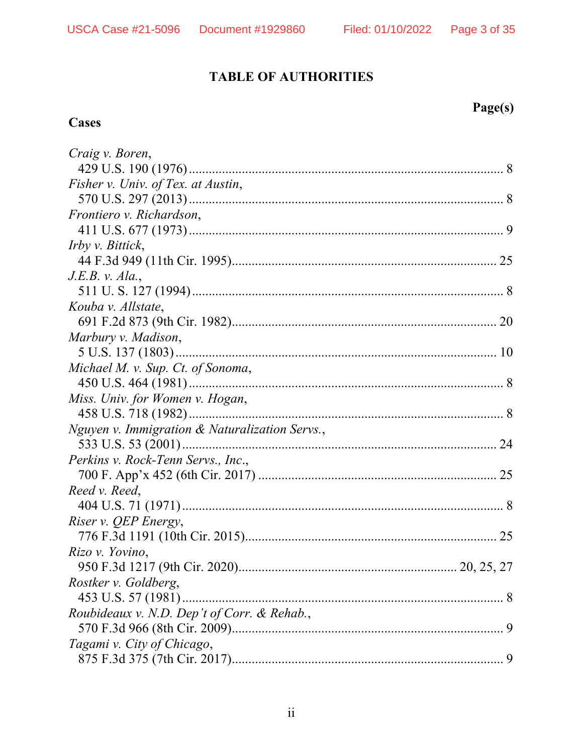# **TABLE OF AUTHORITIES**

## **Cases**

# Page(s)

| Craig v. Boren,                                |
|------------------------------------------------|
|                                                |
| Fisher v. Univ. of Tex. at Austin,             |
|                                                |
| Frontiero v. Richardson,                       |
|                                                |
| <i>Irby v. Bittick,</i>                        |
|                                                |
| J.E.B. v. Ala.                                 |
|                                                |
| Kouba v. Allstate,                             |
|                                                |
| Marbury v. Madison,                            |
|                                                |
| Michael M. v. Sup. Ct. of Sonoma,              |
|                                                |
| Miss. Univ. for Women v. Hogan,                |
|                                                |
| Nguyen v. Immigration & Naturalization Servs., |
|                                                |
| <i>Perkins v. Rock-Tenn Servs., Inc.,</i>      |
|                                                |
| Reed v. Reed,                                  |
|                                                |
| Riser v. QEP Energy,                           |
|                                                |
| Rizo v. Yovino,                                |
| 20, 25, 27                                     |
| Rostker v. Goldberg,                           |
|                                                |
| Roubideaux v. N.D. Dep't of Corr. & Rehab.,    |
|                                                |
| Tagami v. City of Chicago,                     |
|                                                |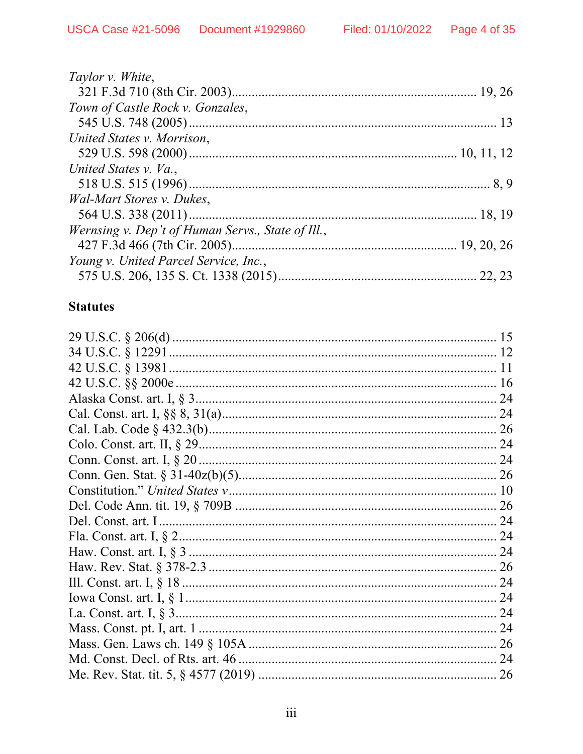| Taylor v. White,                                  |  |
|---------------------------------------------------|--|
|                                                   |  |
| Town of Castle Rock v. Gonzales,                  |  |
|                                                   |  |
| United States v. Morrison,                        |  |
|                                                   |  |
| United States v. Va.,                             |  |
|                                                   |  |
| Wal-Mart Stores v. Dukes,                         |  |
|                                                   |  |
| Wernsing v. Dep't of Human Servs., State of Ill., |  |
|                                                   |  |
| Young v. United Parcel Service, Inc.,             |  |
|                                                   |  |

## **Statutes**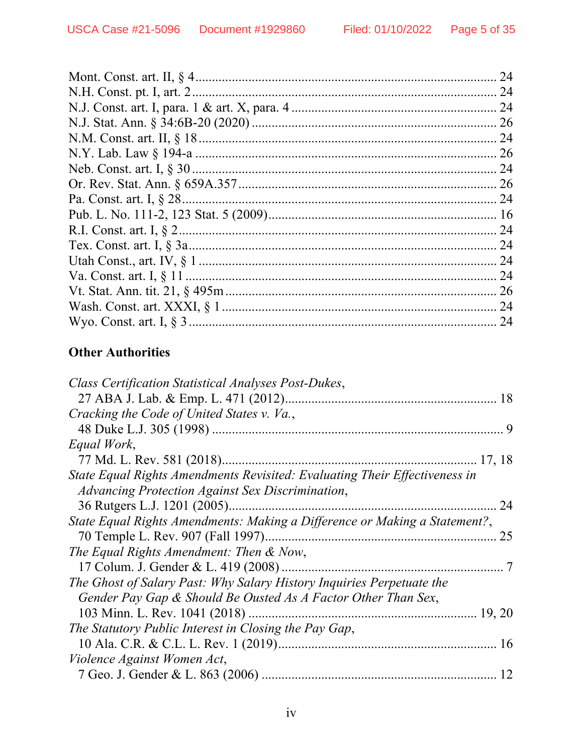| 24 |
|----|
|    |
|    |
|    |
|    |
|    |
|    |
|    |
|    |
|    |
| 24 |
|    |
|    |
|    |
| 26 |
| 24 |
|    |
|    |

# **Other Authorities**

| Class Certification Statistical Analyses Post-Dukes,                       |
|----------------------------------------------------------------------------|
|                                                                            |
| Cracking the Code of United States v. Va.,                                 |
| 9                                                                          |
| Equal Work,                                                                |
|                                                                            |
| State Equal Rights Amendments Revisited: Evaluating Their Effectiveness in |
| Advancing Protection Against Sex Discrimination,                           |
| 24                                                                         |
| State Equal Rights Amendments: Making a Difference or Making a Statement?, |
| 25                                                                         |
| The Equal Rights Amendment: Then $\&$ Now,                                 |
|                                                                            |
| The Ghost of Salary Past: Why Salary History Inquiries Perpetuate the      |
| Gender Pay Gap & Should Be Ousted As A Factor Other Than Sex,              |
|                                                                            |
| The Statutory Public Interest in Closing the Pay Gap,                      |
|                                                                            |
| Violence Against Women Act,                                                |
| 12                                                                         |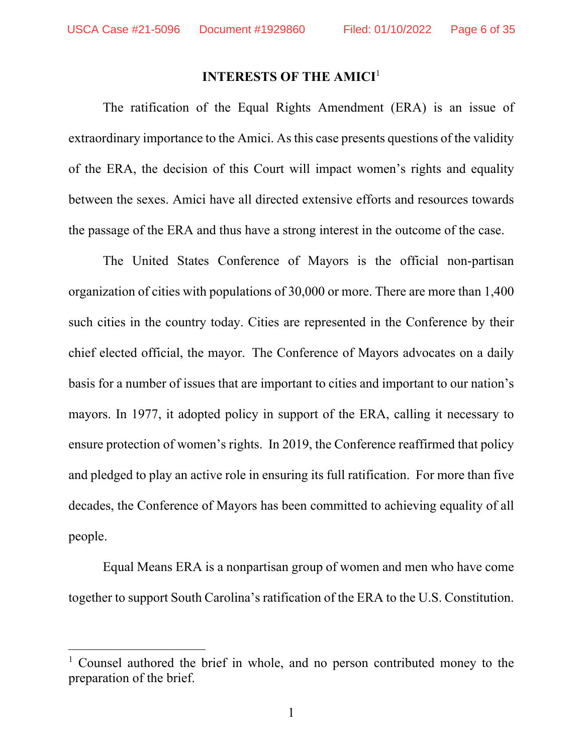#### **INTERESTS OF THE AMICI**<sup>1</sup>

The ratification of the Equal Rights Amendment (ERA) is an issue of extraordinary importance to the Amici. As this case presents questions of the validity of the ERA, the decision of this Court will impact women's rights and equality between the sexes. Amici have all directed extensive efforts and resources towards the passage of the ERA and thus have a strong interest in the outcome of the case.

The United States Conference of Mayors is the official non-partisan organization of cities with populations of 30,000 or more. There are more than 1,400 such cities in the country today. Cities are represented in the Conference by their chief elected official, the mayor. The Conference of Mayors advocates on a daily basis for a number of issues that are important to cities and important to our nation's mayors. In 1977, it adopted policy in support of the ERA, calling it necessary to ensure protection of women's rights. In 2019, the Conference reaffirmed that policy and pledged to play an active role in ensuring its full ratification. For more than five decades, the Conference of Mayors has been committed to achieving equality of all people.

Equal Means ERA is a nonpartisan group of women and men who have come together to support South Carolina's ratification of the ERA to the U.S. Constitution.

<sup>&</sup>lt;sup>1</sup> Counsel authored the brief in whole, and no person contributed money to the preparation of the brief.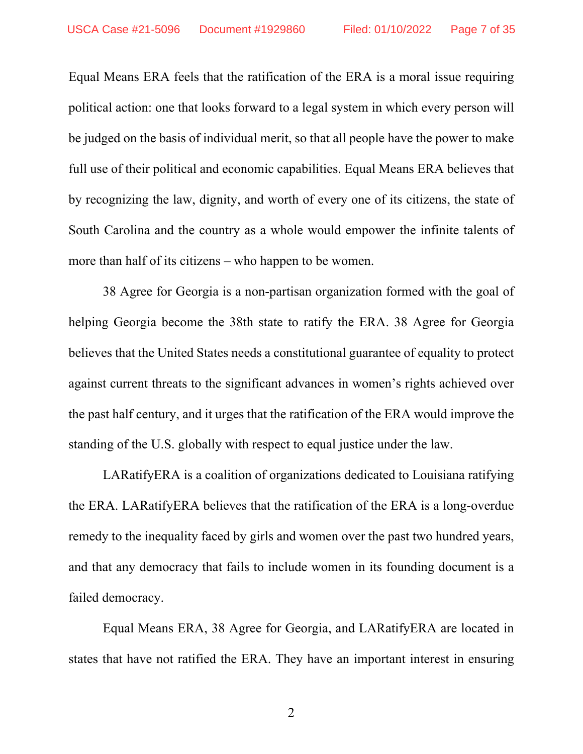Equal Means ERA feels that the ratification of the ERA is a moral issue requiring political action: one that looks forward to a legal system in which every person will be judged on the basis of individual merit, so that all people have the power to make full use of their political and economic capabilities. Equal Means ERA believes that by recognizing the law, dignity, and worth of every one of its citizens, the state of South Carolina and the country as a whole would empower the infinite talents of more than half of its citizens – who happen to be women.

38 Agree for Georgia is a non-partisan organization formed with the goal of helping Georgia become the 38th state to ratify the ERA. 38 Agree for Georgia believes that the United States needs a constitutional guarantee of equality to protect against current threats to the significant advances in women's rights achieved over the past half century, and it urges that the ratification of the ERA would improve the standing of the U.S. globally with respect to equal justice under the law.

LARatifyERA is a coalition of organizations dedicated to Louisiana ratifying the ERA. LARatifyERA believes that the ratification of the ERA is a long-overdue remedy to the inequality faced by girls and women over the past two hundred years, and that any democracy that fails to include women in its founding document is a failed democracy.

Equal Means ERA, 38 Agree for Georgia, and LARatifyERA are located in states that have not ratified the ERA. They have an important interest in ensuring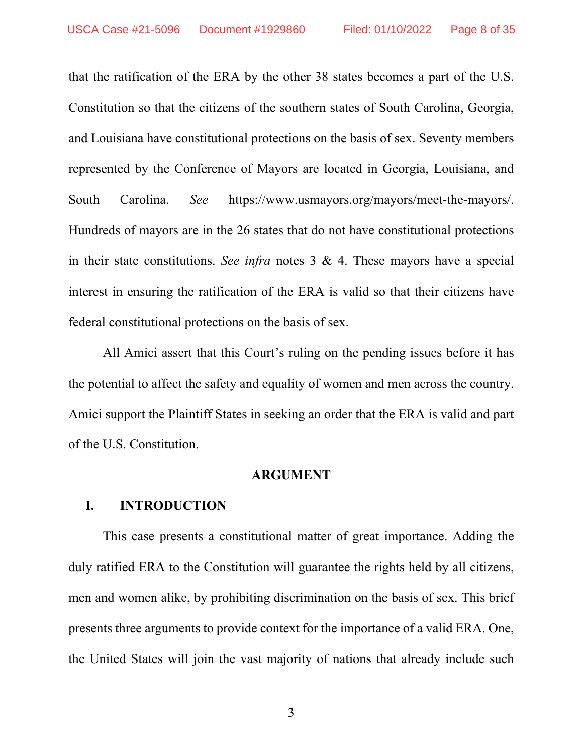that the ratification of the ERA by the other 38 states becomes a part of the U.S. Constitution so that the citizens of the southern states of South Carolina, Georgia, and Louisiana have constitutional protections on the basis of sex. Seventy members represented by the Conference of Mayors are located in Georgia, Louisiana, and South Carolina. *See* https://www.usmayors.org/mayors/meet-the-mayors/. Hundreds of mayors are in the 26 states that do not have constitutional protections in their state constitutions. *See infra* notes 3 & 4. These mayors have a special interest in ensuring the ratification of the ERA is valid so that their citizens have federal constitutional protections on the basis of sex.

All Amici assert that this Court's ruling on the pending issues before it has the potential to affect the safety and equality of women and men across the country. Amici support the Plaintiff States in seeking an order that the ERA is valid and part of the U.S. Constitution.

#### **ARGUMENT**

#### **I. INTRODUCTION**

This case presents a constitutional matter of great importance. Adding the duly ratified ERA to the Constitution will guarantee the rights held by all citizens, men and women alike, by prohibiting discrimination on the basis of sex. This brief presents three arguments to provide context for the importance of a valid ERA. One, the United States will join the vast majority of nations that already include such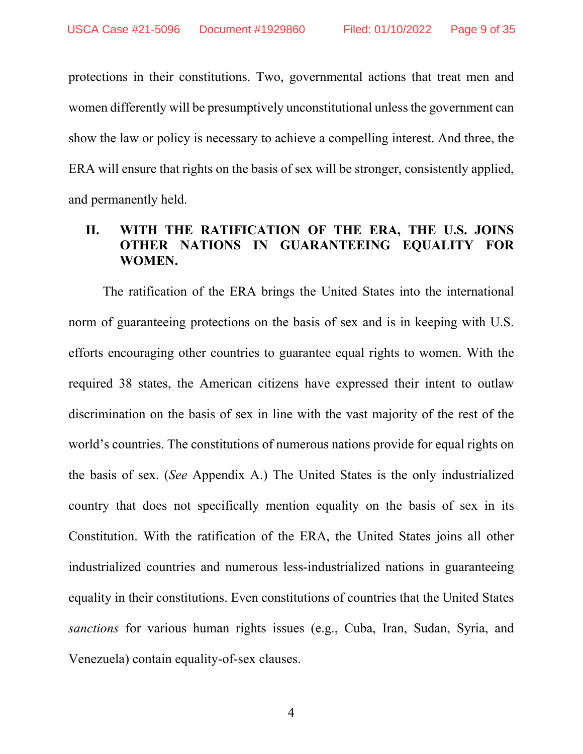protections in their constitutions. Two, governmental actions that treat men and women differently will be presumptively unconstitutional unless the government can show the law or policy is necessary to achieve a compelling interest. And three, the ERA will ensure that rights on the basis of sex will be stronger, consistently applied, and permanently held.

## **II. WITH THE RATIFICATION OF THE ERA, THE U.S. JOINS OTHER NATIONS IN GUARANTEEING EQUALITY FOR WOMEN.**

The ratification of the ERA brings the United States into the international norm of guaranteeing protections on the basis of sex and is in keeping with U.S. efforts encouraging other countries to guarantee equal rights to women. With the required 38 states, the American citizens have expressed their intent to outlaw discrimination on the basis of sex in line with the vast majority of the rest of the world's countries. The constitutions of numerous nations provide for equal rights on the basis of sex. (*See* Appendix A.) The United States is the only industrialized country that does not specifically mention equality on the basis of sex in its Constitution. With the ratification of the ERA, the United States joins all other industrialized countries and numerous less-industrialized nations in guaranteeing equality in their constitutions. Even constitutions of countries that the United States *sanctions* for various human rights issues (e.g., Cuba, Iran, Sudan, Syria, and Venezuela) contain equality-of-sex clauses.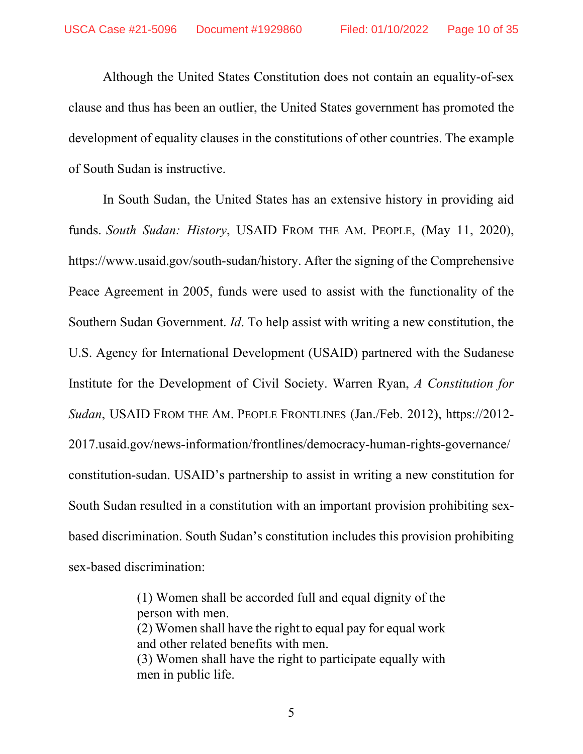Although the United States Constitution does not contain an equality-of-sex clause and thus has been an outlier, the United States government has promoted the development of equality clauses in the constitutions of other countries. The example of South Sudan is instructive.

In South Sudan, the United States has an extensive history in providing aid funds. *South Sudan: History*, USAID FROM THE AM. PEOPLE, (May 11, 2020), https://www.usaid.gov/south-sudan/history. After the signing of the Comprehensive Peace Agreement in 2005, funds were used to assist with the functionality of the Southern Sudan Government. *Id*. To help assist with writing a new constitution, the U.S. Agency for International Development (USAID) partnered with the Sudanese Institute for the Development of Civil Society. Warren Ryan, *A Constitution for Sudan*, USAID FROM THE AM. PEOPLE FRONTLINES (Jan./Feb. 2012), https://2012- 2017.usaid.gov/news-information/frontlines/democracy-human-rights-governance/ constitution-sudan. USAID's partnership to assist in writing a new constitution for South Sudan resulted in a constitution with an important provision prohibiting sexbased discrimination. South Sudan's constitution includes this provision prohibiting sex-based discrimination:

> (1) Women shall be accorded full and equal dignity of the person with men. (2) Women shall have the right to equal pay for equal work and other related benefits with men. (3) Women shall have the right to participate equally with men in public life.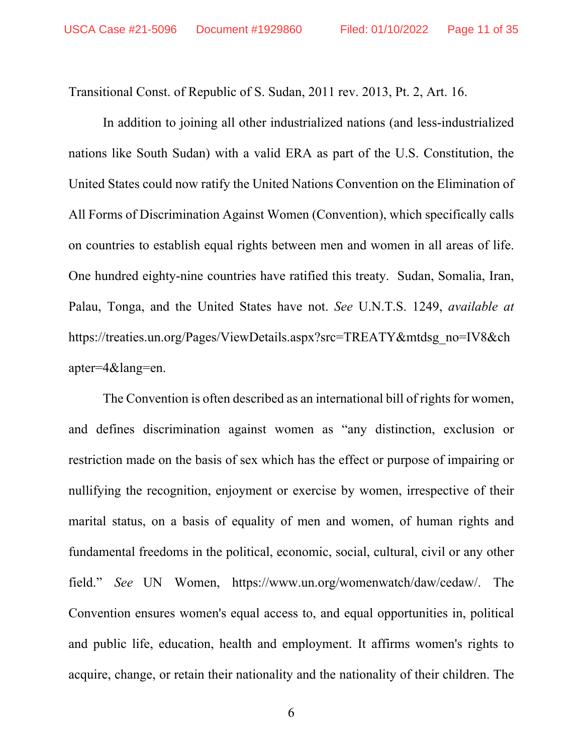Transitional Const. of Republic of S. Sudan, 2011 rev. 2013, Pt. 2, Art. 16.

In addition to joining all other industrialized nations (and less-industrialized nations like South Sudan) with a valid ERA as part of the U.S. Constitution, the United States could now ratify the United Nations Convention on the Elimination of All Forms of Discrimination Against Women (Convention), which specifically calls on countries to establish equal rights between men and women in all areas of life. One hundred eighty-nine countries have ratified this treaty. Sudan, Somalia, Iran, Palau, Tonga, and the United States have not. *See* U.N.T.S. 1249, *available at* https://treaties.un.org/Pages/ViewDetails.aspx?src=TREATY&mtdsg\_no=IV8&ch apter=4&lang=en.

The Convention is often described as an international bill of rights for women, and defines discrimination against women as "any distinction, exclusion or restriction made on the basis of sex which has the effect or purpose of impairing or nullifying the recognition, enjoyment or exercise by women, irrespective of their marital status, on a basis of equality of men and women, of human rights and fundamental freedoms in the political, economic, social, cultural, civil or any other field." *See* UN Women, https://www.un.org/womenwatch/daw/cedaw/. The Convention ensures women's equal access to, and equal opportunities in, political and public life, education, health and employment. It affirms women's rights to acquire, change, or retain their nationality and the nationality of their children. The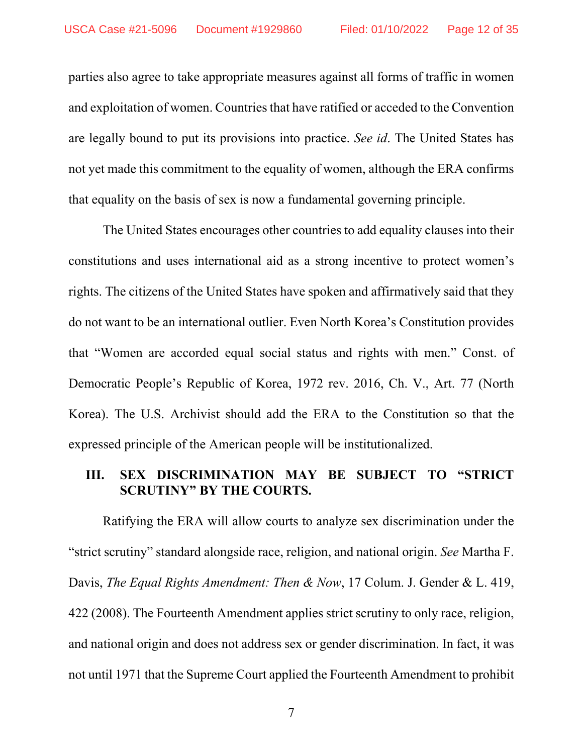parties also agree to take appropriate measures against all forms of traffic in women and exploitation of women. Countries that have ratified or acceded to the Convention are legally bound to put its provisions into practice. *See id*. The United States has not yet made this commitment to the equality of women, although the ERA confirms that equality on the basis of sex is now a fundamental governing principle.

The United States encourages other countries to add equality clauses into their constitutions and uses international aid as a strong incentive to protect women's rights. The citizens of the United States have spoken and affirmatively said that they do not want to be an international outlier. Even North Korea's Constitution provides that "Women are accorded equal social status and rights with men." Const. of Democratic People's Republic of Korea, 1972 rev. 2016, Ch. V., Art. 77 (North Korea). The U.S. Archivist should add the ERA to the Constitution so that the expressed principle of the American people will be institutionalized.

#### **III. SEX DISCRIMINATION MAY BE SUBJECT TO "STRICT SCRUTINY" BY THE COURTS.**

Ratifying the ERA will allow courts to analyze sex discrimination under the "strict scrutiny" standard alongside race, religion, and national origin. *See* Martha F. Davis, *The Equal Rights Amendment: Then & Now*, 17 Colum. J. Gender & L. 419, 422 (2008). The Fourteenth Amendment applies strict scrutiny to only race, religion, and national origin and does not address sex or gender discrimination. In fact, it was not until 1971 that the Supreme Court applied the Fourteenth Amendment to prohibit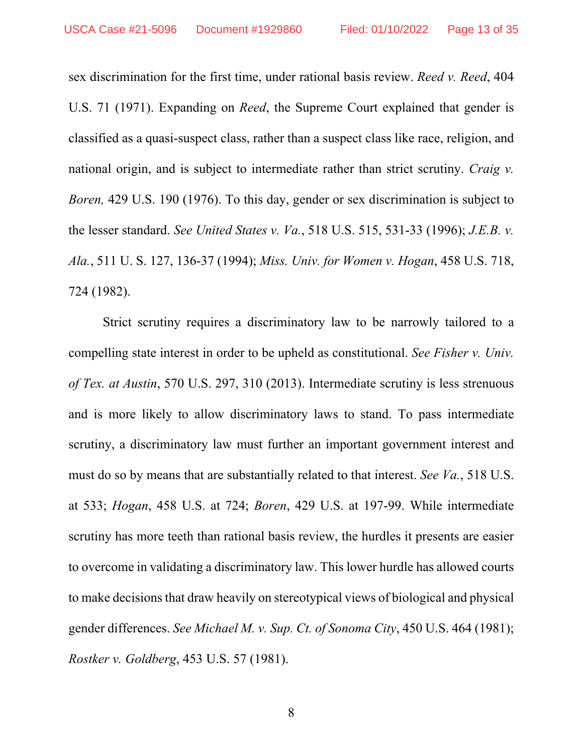sex discrimination for the first time, under rational basis review. *Reed v. Reed*, 404 U.S. 71 (1971). Expanding on *Reed*, the Supreme Court explained that gender is classified as a quasi-suspect class, rather than a suspect class like race, religion, and national origin, and is subject to intermediate rather than strict scrutiny. *Craig v. Boren,* 429 U.S. 190 (1976). To this day, gender or sex discrimination is subject to the lesser standard. *See United States v. Va.*, 518 U.S. 515, 531-33 (1996); *J.E.B. v. Ala.*, 511 U. S. 127, 136-37 (1994); *Miss. Univ. for Women v. Hogan*, 458 U.S. 718, 724 (1982).

Strict scrutiny requires a discriminatory law to be narrowly tailored to a compelling state interest in order to be upheld as constitutional. *See Fisher v. Univ. of Tex. at Austin*, 570 U.S. 297, 310 (2013). Intermediate scrutiny is less strenuous and is more likely to allow discriminatory laws to stand. To pass intermediate scrutiny, a discriminatory law must further an important government interest and must do so by means that are substantially related to that interest. *See Va.*, 518 U.S. at 533; *Hogan*, 458 U.S. at 724; *Boren*, 429 U.S. at 197-99. While intermediate scrutiny has more teeth than rational basis review, the hurdles it presents are easier to overcome in validating a discriminatory law. This lower hurdle has allowed courts to make decisions that draw heavily on stereotypical views of biological and physical gender differences. *See Michael M. v. Sup. Ct. of Sonoma City*, 450 U.S. 464 (1981); *Rostker v. Goldberg*, 453 U.S. 57 (1981).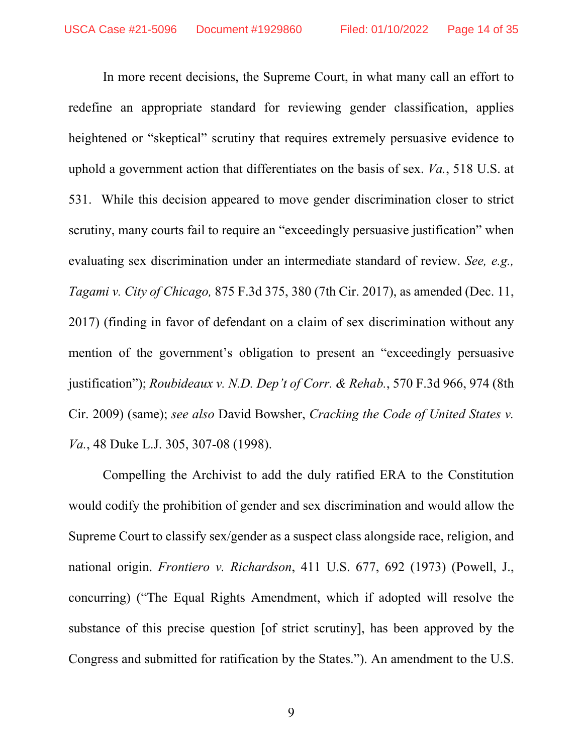In more recent decisions, the Supreme Court, in what many call an effort to redefine an appropriate standard for reviewing gender classification, applies heightened or "skeptical" scrutiny that requires extremely persuasive evidence to uphold a government action that differentiates on the basis of sex. *Va.*, 518 U.S. at 531. While this decision appeared to move gender discrimination closer to strict scrutiny, many courts fail to require an "exceedingly persuasive justification" when evaluating sex discrimination under an intermediate standard of review. *See, e.g., Tagami v. City of Chicago,* 875 F.3d 375, 380 (7th Cir. 2017), as amended (Dec. 11, 2017) (finding in favor of defendant on a claim of sex discrimination without any mention of the government's obligation to present an "exceedingly persuasive justification"); *Roubideaux v. N.D. Dep't of Corr. & Rehab.*, 570 F.3d 966, 974 (8th Cir. 2009) (same); *see also* David Bowsher, *Cracking the Code of United States v. Va.*, 48 Duke L.J. 305, 307-08 (1998).

Compelling the Archivist to add the duly ratified ERA to the Constitution would codify the prohibition of gender and sex discrimination and would allow the Supreme Court to classify sex/gender as a suspect class alongside race, religion, and national origin. *Frontiero v. Richardson*, 411 U.S. 677, 692 (1973) (Powell, J., concurring) ("The Equal Rights Amendment, which if adopted will resolve the substance of this precise question [of strict scrutiny], has been approved by the Congress and submitted for ratification by the States."). An amendment to the U.S.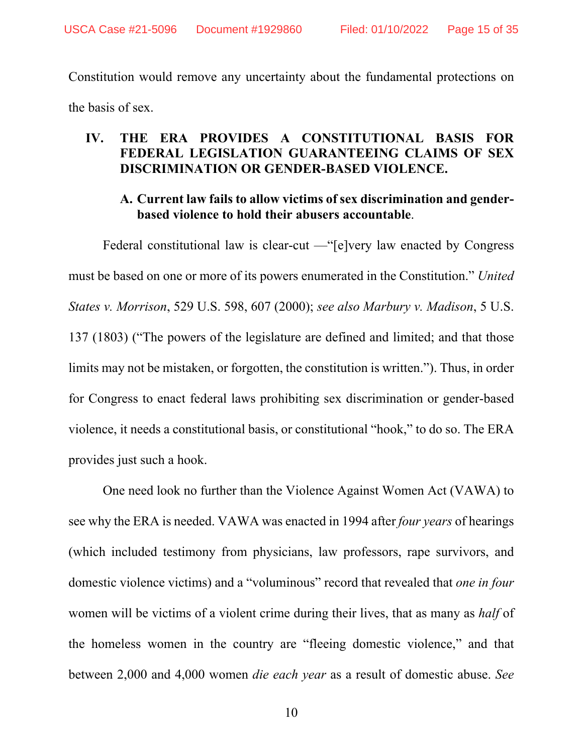Constitution would remove any uncertainty about the fundamental protections on the basis of sex.

#### **IV. THE ERA PROVIDES A CONSTITUTIONAL BASIS FOR FEDERAL LEGISLATION GUARANTEEING CLAIMS OF SEX DISCRIMINATION OR GENDER-BASED VIOLENCE.**

#### **A. Current law fails to allow victims of sex discrimination and genderbased violence to hold their abusers accountable**.

Federal constitutional law is clear-cut —"[e]very law enacted by Congress must be based on one or more of its powers enumerated in the Constitution." *United States v. Morrison*, 529 U.S. 598, 607 (2000); *see also Marbury v. Madison*, 5 U.S. 137 (1803) ("The powers of the legislature are defined and limited; and that those limits may not be mistaken, or forgotten, the constitution is written."). Thus, in order for Congress to enact federal laws prohibiting sex discrimination or gender-based violence, it needs a constitutional basis, or constitutional "hook," to do so. The ERA provides just such a hook.

One need look no further than the Violence Against Women Act (VAWA) to see why the ERA is needed. VAWA was enacted in 1994 after *four years* of hearings (which included testimony from physicians, law professors, rape survivors, and domestic violence victims) and a "voluminous" record that revealed that *one in four* women will be victims of a violent crime during their lives, that as many as *half* of the homeless women in the country are "fleeing domestic violence," and that between 2,000 and 4,000 women *die each year* as a result of domestic abuse. *See*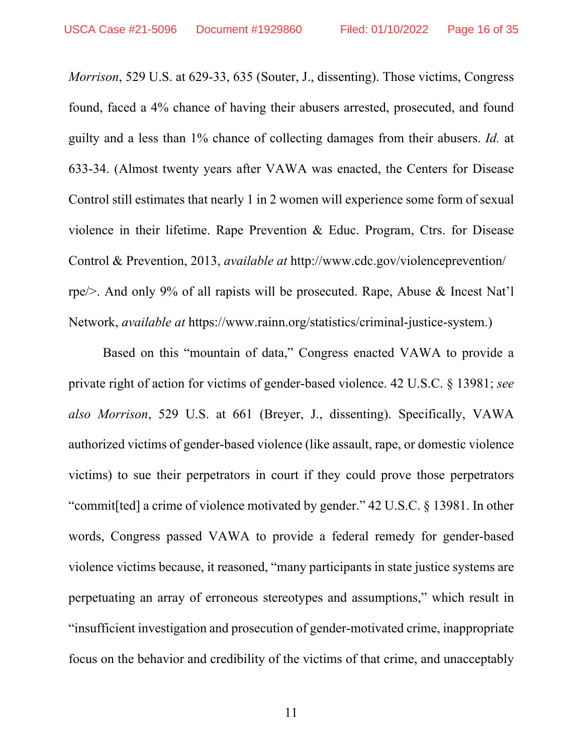*Morrison*, 529 U.S. at 629-33, 635 (Souter, J., dissenting). Those victims, Congress found, faced a 4% chance of having their abusers arrested, prosecuted, and found guilty and a less than 1% chance of collecting damages from their abusers. *Id.* at 633-34. (Almost twenty years after VAWA was enacted, the Centers for Disease Control still estimates that nearly 1 in 2 women will experience some form of sexual violence in their lifetime. Rape Prevention & Educ. Program, Ctrs. for Disease Control & Prevention, 2013, *available at* http://www.cdc.gov/violenceprevention/ rpe/>. And only 9% of all rapists will be prosecuted. Rape, Abuse & Incest Nat'l Network, *available at* https://www.rainn.org/statistics/criminal-justice-system.)

Based on this "mountain of data," Congress enacted VAWA to provide a private right of action for victims of gender-based violence. 42 U.S.C. § 13981; *see also Morrison*, 529 U.S. at 661 (Breyer, J., dissenting). Specifically, VAWA authorized victims of gender-based violence (like assault, rape, or domestic violence victims) to sue their perpetrators in court if they could prove those perpetrators "commit[ted] a crime of violence motivated by gender." 42 U.S.C. § 13981. In other words, Congress passed VAWA to provide a federal remedy for gender-based violence victims because, it reasoned, "many participants in state justice systems are perpetuating an array of erroneous stereotypes and assumptions," which result in "insufficient investigation and prosecution of gender-motivated crime, inappropriate focus on the behavior and credibility of the victims of that crime, and unacceptably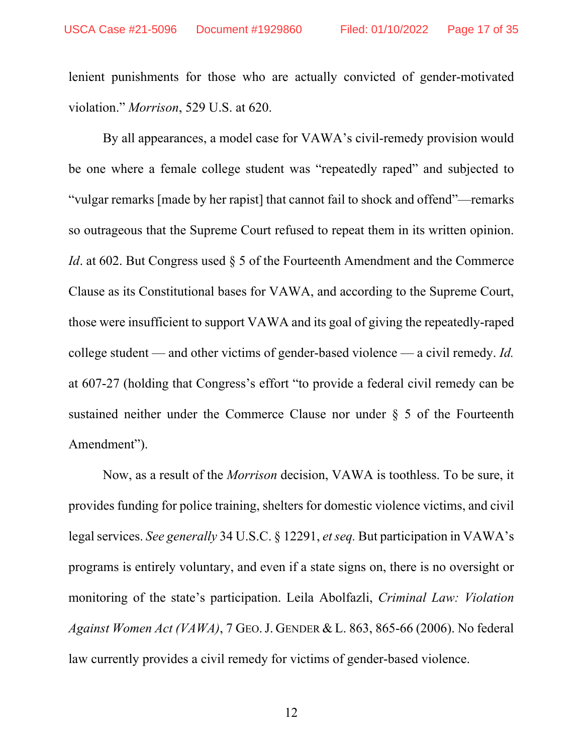lenient punishments for those who are actually convicted of gender-motivated violation." *Morrison*, 529 U.S. at 620.

By all appearances, a model case for VAWA's civil-remedy provision would be one where a female college student was "repeatedly raped" and subjected to "vulgar remarks [made by her rapist] that cannot fail to shock and offend"—remarks so outrageous that the Supreme Court refused to repeat them in its written opinion. *Id.* at 602. But Congress used § 5 of the Fourteenth Amendment and the Commerce Clause as its Constitutional bases for VAWA, and according to the Supreme Court, those were insufficient to support VAWA and its goal of giving the repeatedly-raped college student — and other victims of gender-based violence — a civil remedy. *Id.* at 607-27 (holding that Congress's effort "to provide a federal civil remedy can be sustained neither under the Commerce Clause nor under § 5 of the Fourteenth Amendment").

Now, as a result of the *Morrison* decision, VAWA is toothless. To be sure, it provides funding for police training, shelters for domestic violence victims, and civil legal services. *See generally* 34 U.S.C. § 12291, *et seq.* But participation in VAWA's programs is entirely voluntary, and even if a state signs on, there is no oversight or monitoring of the state's participation. Leila Abolfazli, *Criminal Law: Violation Against Women Act (VAWA)*, 7 GEO.J. GENDER & L. 863, 865-66 (2006). No federal law currently provides a civil remedy for victims of gender-based violence.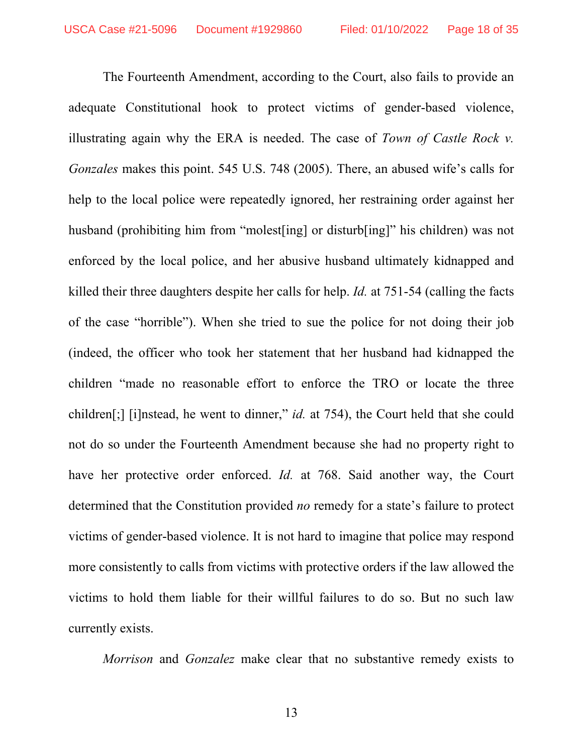The Fourteenth Amendment, according to the Court, also fails to provide an adequate Constitutional hook to protect victims of gender-based violence, illustrating again why the ERA is needed. The case of *Town of Castle Rock v. Gonzales* makes this point. 545 U.S. 748 (2005). There, an abused wife's calls for help to the local police were repeatedly ignored, her restraining order against her husband (prohibiting him from "molest[ing] or disturb[ing]" his children) was not enforced by the local police, and her abusive husband ultimately kidnapped and killed their three daughters despite her calls for help. *Id.* at 751-54 (calling the facts of the case "horrible"). When she tried to sue the police for not doing their job (indeed, the officer who took her statement that her husband had kidnapped the children "made no reasonable effort to enforce the TRO or locate the three children[;] [i]nstead, he went to dinner," *id.* at 754), the Court held that she could not do so under the Fourteenth Amendment because she had no property right to have her protective order enforced. *Id.* at 768. Said another way, the Court determined that the Constitution provided *no* remedy for a state's failure to protect victims of gender-based violence. It is not hard to imagine that police may respond more consistently to calls from victims with protective orders if the law allowed the victims to hold them liable for their willful failures to do so. But no such law currently exists.

*Morrison* and *Gonzalez* make clear that no substantive remedy exists to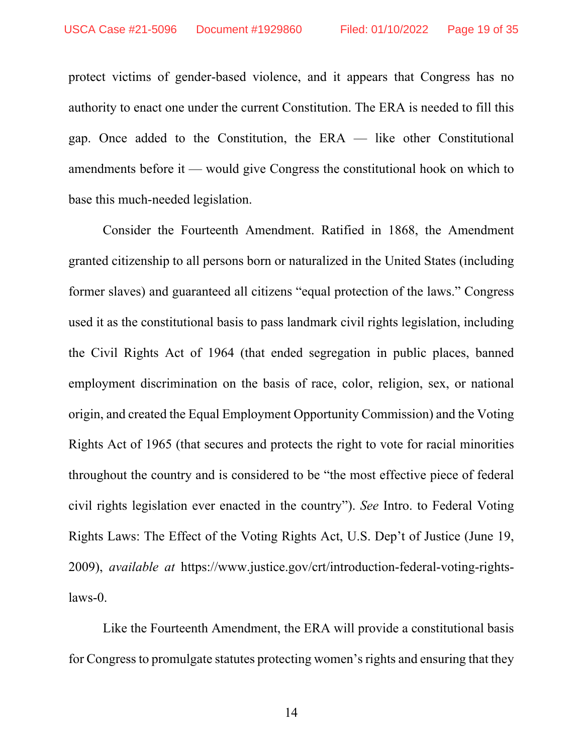protect victims of gender-based violence, and it appears that Congress has no authority to enact one under the current Constitution. The ERA is needed to fill this gap. Once added to the Constitution, the ERA — like other Constitutional amendments before it — would give Congress the constitutional hook on which to base this much-needed legislation.

Consider the Fourteenth Amendment. Ratified in 1868, the Amendment granted citizenship to all persons born or naturalized in the United States (including former slaves) and guaranteed all citizens "equal protection of the laws." Congress used it as the constitutional basis to pass landmark civil rights legislation, including the Civil Rights Act of 1964 (that ended segregation in public places, banned employment discrimination on the basis of race, color, religion, sex, or national origin, and created the Equal Employment Opportunity Commission) and the Voting Rights Act of 1965 (that secures and protects the right to vote for racial minorities throughout the country and is considered to be "the most effective piece of federal civil rights legislation ever enacted in the country"). *See* Intro. to Federal Voting Rights Laws: The Effect of the Voting Rights Act, U.S. Dep't of Justice (June 19, 2009), *available at* https://www.justice.gov/crt/introduction-federal-voting-rightslaws-0.

Like the Fourteenth Amendment, the ERA will provide a constitutional basis for Congress to promulgate statutes protecting women's rights and ensuring that they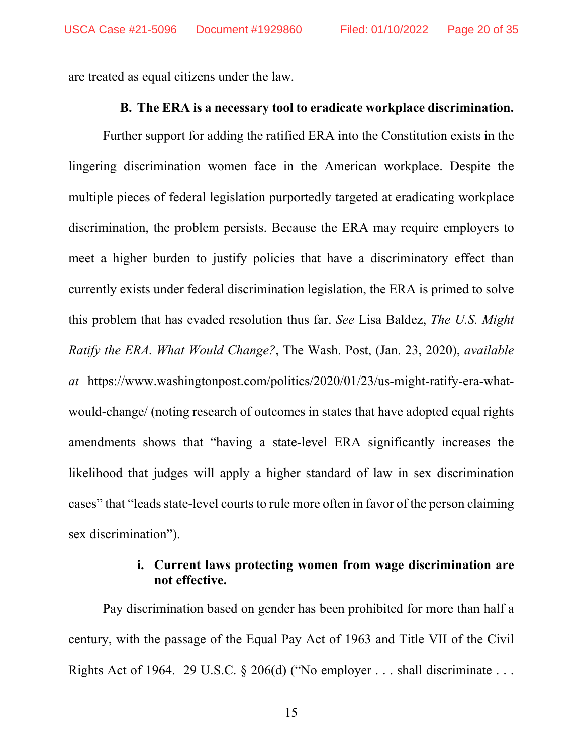are treated as equal citizens under the law.

#### **B. The ERA is a necessary tool to eradicate workplace discrimination.**

Further support for adding the ratified ERA into the Constitution exists in the lingering discrimination women face in the American workplace. Despite the multiple pieces of federal legislation purportedly targeted at eradicating workplace discrimination, the problem persists. Because the ERA may require employers to meet a higher burden to justify policies that have a discriminatory effect than currently exists under federal discrimination legislation, the ERA is primed to solve this problem that has evaded resolution thus far. *See* Lisa Baldez, *The U.S. Might Ratify the ERA. What Would Change?*, The Wash. Post, (Jan. 23, 2020), *available at* https://www.washingtonpost.com/politics/2020/01/23/us-might-ratify-era-whatwould-change/ (noting research of outcomes in states that have adopted equal rights amendments shows that "having a state-level ERA significantly increases the likelihood that judges will apply a higher standard of law in sex discrimination cases" that "leads state-level courts to rule more often in favor of the person claiming sex discrimination").

## **i. Current laws protecting women from wage discrimination are not effective.**

Pay discrimination based on gender has been prohibited for more than half a century, with the passage of the Equal Pay Act of 1963 and Title VII of the Civil Rights Act of 1964. 29 U.S.C.  $\S$  206(d) ("No employer ... shall discriminate ...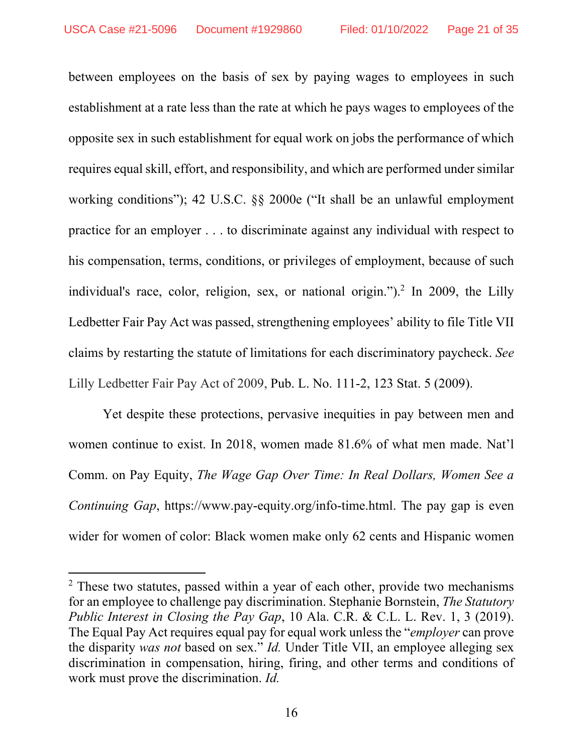between employees on the basis of sex by paying wages to employees in such establishment at a rate less than the rate at which he pays wages to employees of the opposite sex in such establishment for equal work on jobs the performance of which requires equal skill, effort, and responsibility, and which are performed under similar working conditions"); 42 U.S.C. §§ 2000e ("It shall be an unlawful employment practice for an employer . . . to discriminate against any individual with respect to his compensation, terms, conditions, or privileges of employment, because of such individual's race, color, religion, sex, or national origin.").<sup>2</sup> In 2009, the Lilly Ledbetter Fair Pay Act was passed, strengthening employees' ability to file Title VII claims by restarting the statute of limitations for each discriminatory paycheck. *See* Lilly Ledbetter Fair Pay Act of 2009, Pub. L. No. 111-2, 123 Stat. 5 (2009).

Yet despite these protections, pervasive inequities in pay between men and women continue to exist. In 2018, women made 81.6% of what men made. Nat'l Comm. on Pay Equity, *The Wage Gap Over Time: In Real Dollars, Women See a Continuing Gap*, https://www.pay-equity.org/info-time.html. The pay gap is even wider for women of color: Black women make only 62 cents and Hispanic women

<sup>&</sup>lt;sup>2</sup> These two statutes, passed within a year of each other, provide two mechanisms for an employee to challenge pay discrimination. Stephanie Bornstein, *The Statutory Public Interest in Closing the Pay Gap*, 10 Ala. C.R. & C.L. L. Rev. 1, 3 (2019). The Equal Pay Act requires equal pay for equal work unless the "*employer* can prove the disparity *was not* based on sex." *Id.* Under Title VII, an employee alleging sex discrimination in compensation, hiring, firing, and other terms and conditions of work must prove the discrimination. *Id.*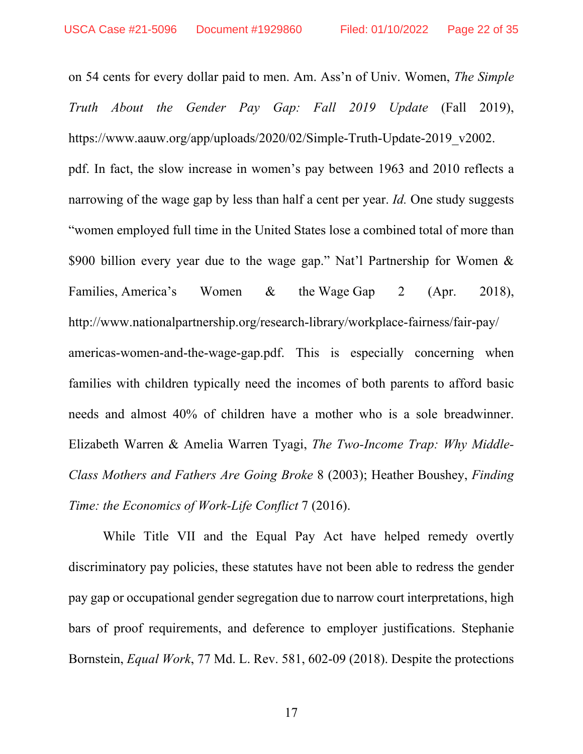on 54 cents for every dollar paid to men. Am. Ass'n of Univ. Women, *The Simple Truth About the Gender Pay Gap: Fall 2019 Update* (Fall 2019), https://www.aauw.org/app/uploads/2020/02/Simple-Truth-Update-2019\_v2002. pdf. In fact, the slow increase in women's pay between 1963 and 2010 reflects a narrowing of the wage gap by less than half a cent per year. *Id.* One study suggests "women employed full time in the United States lose a combined total of more than \$900 billion every year due to the wage gap." Nat'l Partnership for Women & Families, America's Women & the Wage Gap 2 (Apr. 2018), http://www.nationalpartnership.org/research-library/workplace-fairness/fair-pay/ americas-women-and-the-wage-gap.pdf. This is especially concerning when families with children typically need the incomes of both parents to afford basic needs and almost 40% of children have a mother who is a sole breadwinner. Elizabeth Warren & Amelia Warren Tyagi, *The Two-Income Trap: Why Middle-Class Mothers and Fathers Are Going Broke* 8 (2003); Heather Boushey, *Finding Time: the Economics of Work-Life Conflict* 7 (2016).

While Title VII and the Equal Pay Act have helped remedy overtly discriminatory pay policies, these statutes have not been able to redress the gender pay gap or occupational gender segregation due to narrow court interpretations, high bars of proof requirements, and deference to employer justifications. Stephanie Bornstein, *Equal Work*, 77 Md. L. Rev. 581, 602-09 (2018). Despite the protections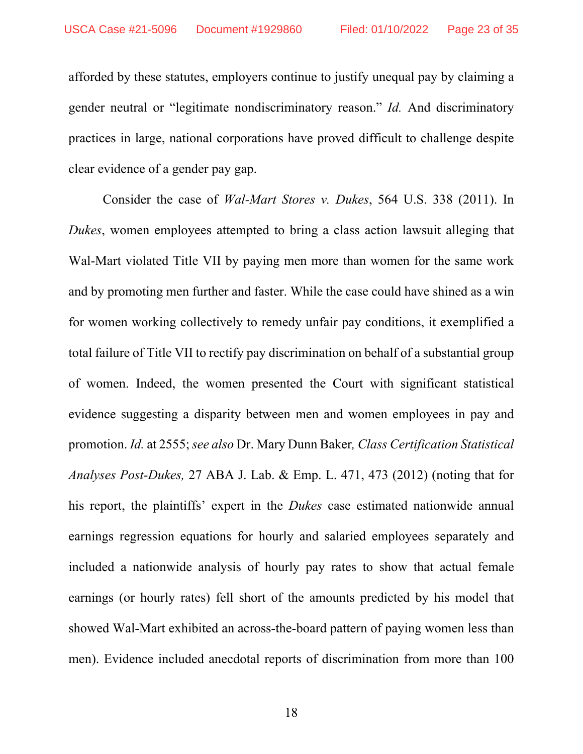afforded by these statutes, employers continue to justify unequal pay by claiming a gender neutral or "legitimate nondiscriminatory reason." *Id.* And discriminatory practices in large, national corporations have proved difficult to challenge despite clear evidence of a gender pay gap.

Consider the case of *Wal-Mart Stores v. Dukes*, 564 U.S. 338 (2011). In *Dukes*, women employees attempted to bring a class action lawsuit alleging that Wal-Mart violated Title VII by paying men more than women for the same work and by promoting men further and faster. While the case could have shined as a win for women working collectively to remedy unfair pay conditions, it exemplified a total failure of Title VII to rectify pay discrimination on behalf of a substantial group of women. Indeed, the women presented the Court with significant statistical evidence suggesting a disparity between men and women employees in pay and promotion. *Id.* at 2555; *see also* Dr. Mary Dunn Baker*, Class Certification Statistical Analyses Post-Dukes,* 27 ABA J. Lab. & Emp. L. 471, 473 (2012) (noting that for his report, the plaintiffs' expert in the *Dukes* case estimated nationwide annual earnings regression equations for hourly and salaried employees separately and included a nationwide analysis of hourly pay rates to show that actual female earnings (or hourly rates) fell short of the amounts predicted by his model that showed Wal-Mart exhibited an across-the-board pattern of paying women less than men). Evidence included anecdotal reports of discrimination from more than 100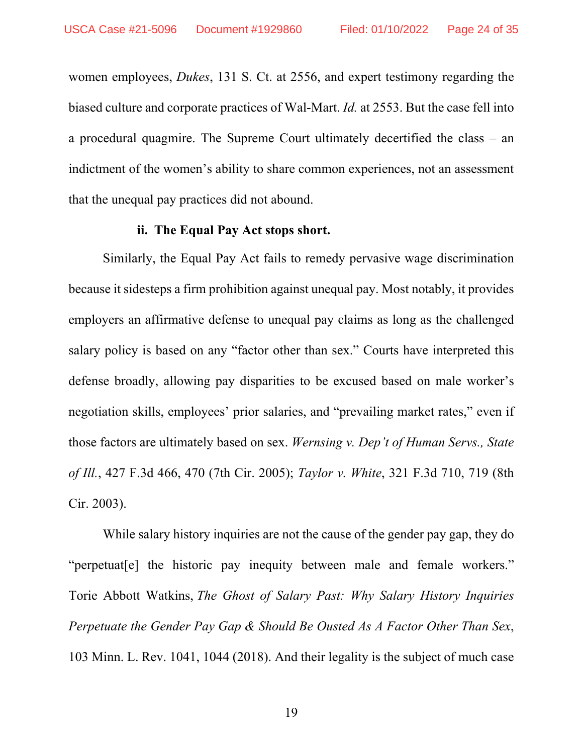women employees, *Dukes*, 131 S. Ct. at 2556, and expert testimony regarding the biased culture and corporate practices of Wal-Mart. *Id.* at 2553. But the case fell into a procedural quagmire. The Supreme Court ultimately decertified the class – an indictment of the women's ability to share common experiences, not an assessment that the unequal pay practices did not abound.

#### **ii. The Equal Pay Act stops short.**

Similarly, the Equal Pay Act fails to remedy pervasive wage discrimination because it sidesteps a firm prohibition against unequal pay. Most notably, it provides employers an affirmative defense to unequal pay claims as long as the challenged salary policy is based on any "factor other than sex." Courts have interpreted this defense broadly, allowing pay disparities to be excused based on male worker's negotiation skills, employees' prior salaries, and "prevailing market rates," even if those factors are ultimately based on sex. *Wernsing v. Dep't of Human Servs., State of Ill.*, 427 F.3d 466, 470 (7th Cir. 2005); *Taylor v. White*, 321 F.3d 710, 719 (8th Cir. 2003).

While salary history inquiries are not the cause of the gender pay gap, they do "perpetuat[e] the historic pay inequity between male and female workers." Torie Abbott Watkins, *The Ghost of Salary Past: Why Salary History Inquiries Perpetuate the Gender Pay Gap & Should Be Ousted As A Factor Other Than Sex*, 103 Minn. L. Rev. 1041, 1044 (2018). And their legality is the subject of much case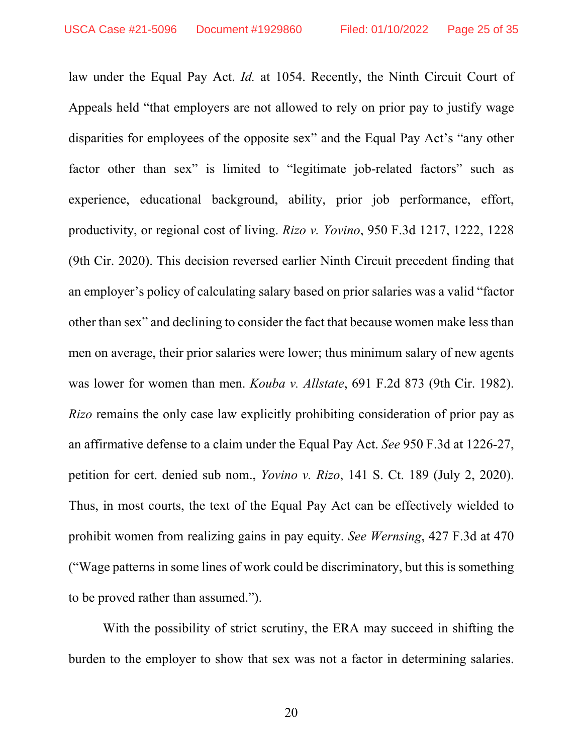law under the Equal Pay Act. *Id.* at 1054. Recently, the Ninth Circuit Court of Appeals held "that employers are not allowed to rely on prior pay to justify wage disparities for employees of the opposite sex" and the Equal Pay Act's "any other factor other than sex" is limited to "legitimate job-related factors" such as experience, educational background, ability, prior job performance, effort, productivity, or regional cost of living. *Rizo v. Yovino*, 950 F.3d 1217, 1222, 1228 (9th Cir. 2020). This decision reversed earlier Ninth Circuit precedent finding that an employer's policy of calculating salary based on prior salaries was a valid "factor other than sex" and declining to consider the fact that because women make less than men on average, their prior salaries were lower; thus minimum salary of new agents was lower for women than men. *Kouba v. Allstate*, 691 F.2d 873 (9th Cir. 1982). *Rizo* remains the only case law explicitly prohibiting consideration of prior pay as an affirmative defense to a claim under the Equal Pay Act. *See* 950 F.3d at 1226-27, petition for cert. denied sub nom., *Yovino v. Rizo*, 141 S. Ct. 189 (July 2, 2020). Thus, in most courts, the text of the Equal Pay Act can be effectively wielded to prohibit women from realizing gains in pay equity. *See Wernsing*, 427 F.3d at 470 ("Wage patterns in some lines of work could be discriminatory, but this is something to be proved rather than assumed.").

With the possibility of strict scrutiny, the ERA may succeed in shifting the burden to the employer to show that sex was not a factor in determining salaries.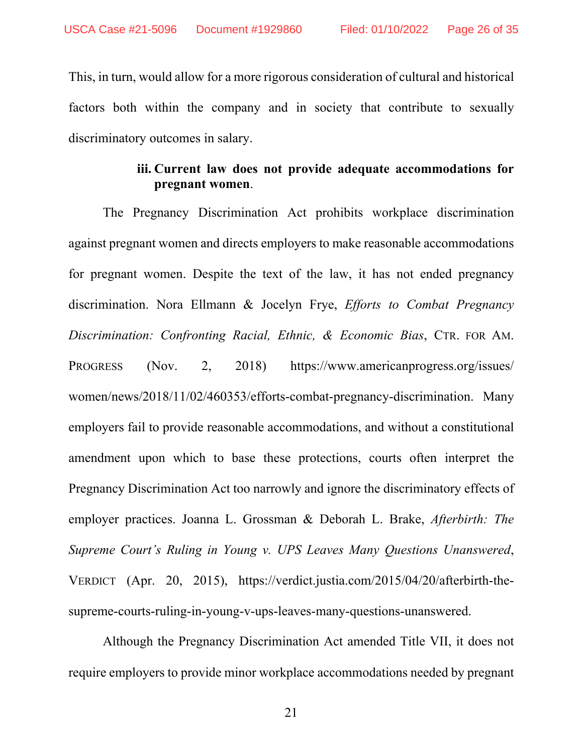This, in turn, would allow for a more rigorous consideration of cultural and historical factors both within the company and in society that contribute to sexually discriminatory outcomes in salary.

## **iii. Current law does not provide adequate accommodations for pregnant women**.

The Pregnancy Discrimination Act prohibits workplace discrimination against pregnant women and directs employers to make reasonable accommodations for pregnant women. Despite the text of the law, it has not ended pregnancy discrimination. Nora Ellmann & Jocelyn Frye, *Efforts to Combat Pregnancy Discrimination: Confronting Racial, Ethnic, & Economic Bias*, CTR. FOR AM. PROGRESS (Nov. 2, 2018) https://www.americanprogress.org/issues/ women/news/2018/11/02/460353/efforts-combat-pregnancy-discrimination. Many employers fail to provide reasonable accommodations, and without a constitutional amendment upon which to base these protections, courts often interpret the Pregnancy Discrimination Act too narrowly and ignore the discriminatory effects of employer practices. Joanna L. Grossman & Deborah L. Brake, *Afterbirth: The Supreme Court's Ruling in Young v. UPS Leaves Many Questions Unanswered*, VERDICT (Apr. 20, 2015), https://verdict.justia.com/2015/04/20/afterbirth-thesupreme-courts-ruling-in-young-v-ups-leaves-many-questions-unanswered.

Although the Pregnancy Discrimination Act amended Title VII, it does not require employers to provide minor workplace accommodations needed by pregnant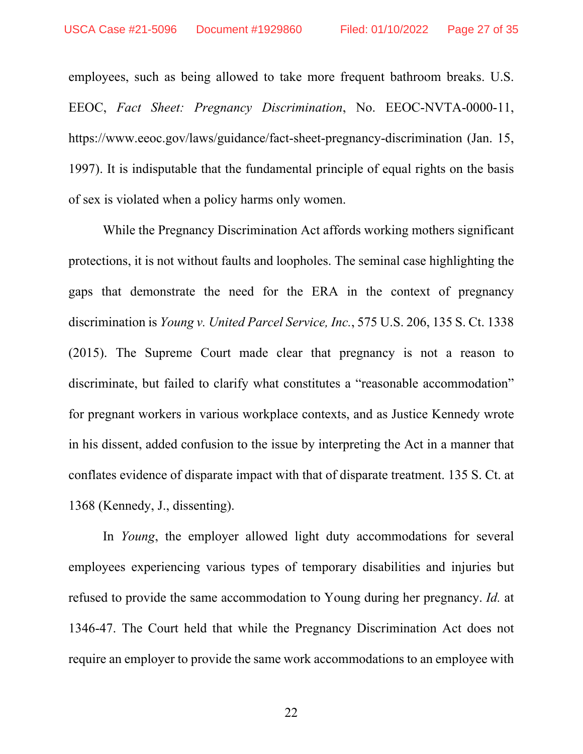employees, such as being allowed to take more frequent bathroom breaks. U.S. EEOC, *Fact Sheet: Pregnancy Discrimination*, No. EEOC-NVTA-0000-11, https://www.eeoc.gov/laws/guidance/fact-sheet-pregnancy-discrimination (Jan. 15, 1997). It is indisputable that the fundamental principle of equal rights on the basis of sex is violated when a policy harms only women.

While the Pregnancy Discrimination Act affords working mothers significant protections, it is not without faults and loopholes. The seminal case highlighting the gaps that demonstrate the need for the ERA in the context of pregnancy discrimination is *Young v. United Parcel Service, Inc.*, 575 U.S. 206, 135 S. Ct. 1338 (2015). The Supreme Court made clear that pregnancy is not a reason to discriminate, but failed to clarify what constitutes a "reasonable accommodation" for pregnant workers in various workplace contexts, and as Justice Kennedy wrote in his dissent, added confusion to the issue by interpreting the Act in a manner that conflates evidence of disparate impact with that of disparate treatment. 135 S. Ct. at 1368 (Kennedy, J., dissenting).

In *Young*, the employer allowed light duty accommodations for several employees experiencing various types of temporary disabilities and injuries but refused to provide the same accommodation to Young during her pregnancy. *Id.* at 1346-47. The Court held that while the Pregnancy Discrimination Act does not require an employer to provide the same work accommodations to an employee with

22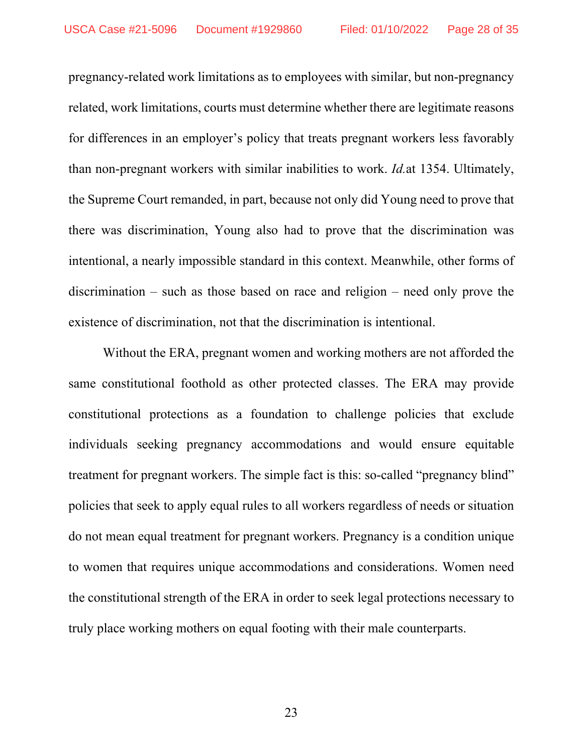pregnancy-related work limitations as to employees with similar, but non-pregnancy related, work limitations, courts must determine whether there are legitimate reasons for differences in an employer's policy that treats pregnant workers less favorably than non-pregnant workers with similar inabilities to work. *Id.*at 1354. Ultimately, the Supreme Court remanded, in part, because not only did Young need to prove that there was discrimination, Young also had to prove that the discrimination was intentional, a nearly impossible standard in this context. Meanwhile, other forms of discrimination – such as those based on race and religion – need only prove the existence of discrimination, not that the discrimination is intentional.

Without the ERA, pregnant women and working mothers are not afforded the same constitutional foothold as other protected classes. The ERA may provide constitutional protections as a foundation to challenge policies that exclude individuals seeking pregnancy accommodations and would ensure equitable treatment for pregnant workers. The simple fact is this: so-called "pregnancy blind" policies that seek to apply equal rules to all workers regardless of needs or situation do not mean equal treatment for pregnant workers. Pregnancy is a condition unique to women that requires unique accommodations and considerations. Women need the constitutional strength of the ERA in order to seek legal protections necessary to truly place working mothers on equal footing with their male counterparts.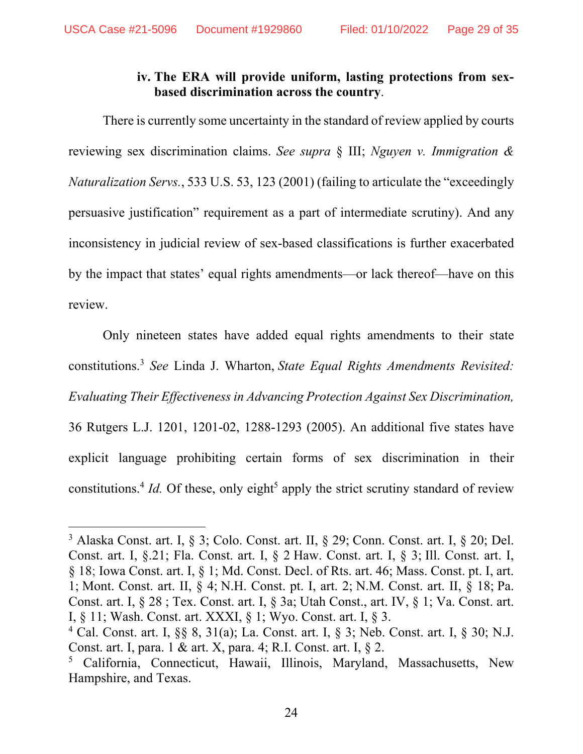## **iv. The ERA will provide uniform, lasting protections from sexbased discrimination across the country**.

There is currently some uncertainty in the standard of review applied by courts reviewing sex discrimination claims. *See supra* § III; *Nguyen v. Immigration & Naturalization Servs.*, 533 U.S. 53, 123 (2001) (failing to articulate the "exceedingly persuasive justification" requirement as a part of intermediate scrutiny). And any inconsistency in judicial review of sex-based classifications is further exacerbated by the impact that states' equal rights amendments—or lack thereof—have on this review.

Only nineteen states have added equal rights amendments to their state constitutions.3 *See* Linda J. Wharton, *State Equal Rights Amendments Revisited: Evaluating Their Effectiveness in Advancing Protection Against Sex Discrimination,* 36 Rutgers L.J. 1201, 1201-02, 1288-1293 (2005). An additional five states have explicit language prohibiting certain forms of sex discrimination in their constitutions.<sup>4</sup> *Id*. Of these, only eight<sup>5</sup> apply the strict scrutiny standard of review

 $3$  Alaska Const. art. I, § 3; Colo. Const. art. II, § 29; Conn. Const. art. I, § 20; Del. Const. art. I, §.21; Fla. Const. art. I, § 2 Haw. Const. art. I, § 3; Ill. Const. art. I, § 18; Iowa Const. art. I, § 1; Md. Const. Decl. of Rts. art. 46; Mass. Const. pt. I, art. 1; Mont. Const. art. II, § 4; N.H. Const. pt. I, art. 2; N.M. Const. art. II, § 18; Pa. Const. art. I, § 28 ; Tex. Const. art. I, § 3a; Utah Const., art. IV, § 1; Va. Const. art. I, § 11; Wash. Const. art. XXXI, § 1; Wyo. Const. art. I, § 3.

<sup>4</sup> Cal. Const. art. I, §§ 8, 31(a); La. Const. art. I, § 3; Neb. Const. art. I, § 30; N.J. Const. art. I, para. 1 & art. X, para. 4; R.I. Const. art. I, § 2.

<sup>5</sup> California, Connecticut, Hawaii, Illinois, Maryland, Massachusetts, New Hampshire, and Texas.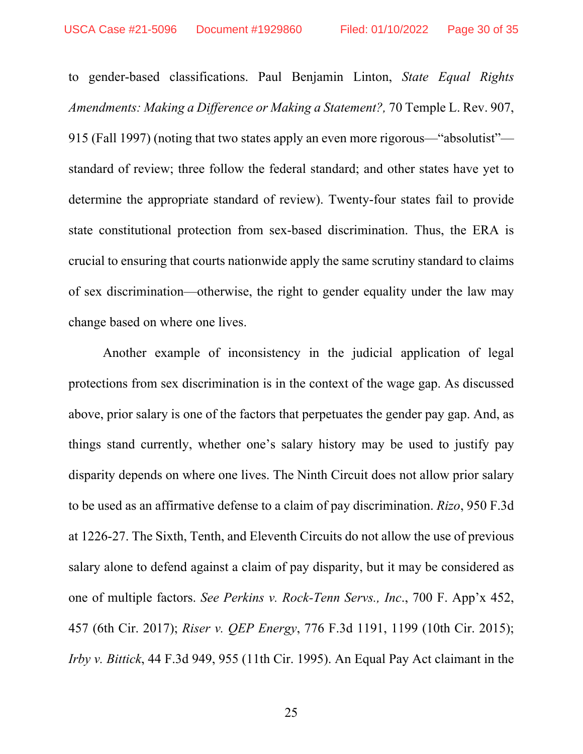to gender-based classifications. Paul Benjamin Linton, *State Equal Rights Amendments: Making a Difference or Making a Statement?,* 70 Temple L. Rev. 907, 915 (Fall 1997) (noting that two states apply an even more rigorous—"absolutist" standard of review; three follow the federal standard; and other states have yet to determine the appropriate standard of review). Twenty-four states fail to provide state constitutional protection from sex-based discrimination. Thus, the ERA is crucial to ensuring that courts nationwide apply the same scrutiny standard to claims of sex discrimination—otherwise, the right to gender equality under the law may change based on where one lives.

Another example of inconsistency in the judicial application of legal protections from sex discrimination is in the context of the wage gap. As discussed above, prior salary is one of the factors that perpetuates the gender pay gap. And, as things stand currently, whether one's salary history may be used to justify pay disparity depends on where one lives. The Ninth Circuit does not allow prior salary to be used as an affirmative defense to a claim of pay discrimination. *Rizo*, 950 F.3d at 1226-27. The Sixth, Tenth, and Eleventh Circuits do not allow the use of previous salary alone to defend against a claim of pay disparity, but it may be considered as one of multiple factors. *See Perkins v. Rock-Tenn Servs., Inc*., 700 F. App'x 452, 457 (6th Cir. 2017); *Riser v. QEP Energy*, 776 F.3d 1191, 1199 (10th Cir. 2015); *Irby v. Bittick*, 44 F.3d 949, 955 (11th Cir. 1995). An Equal Pay Act claimant in the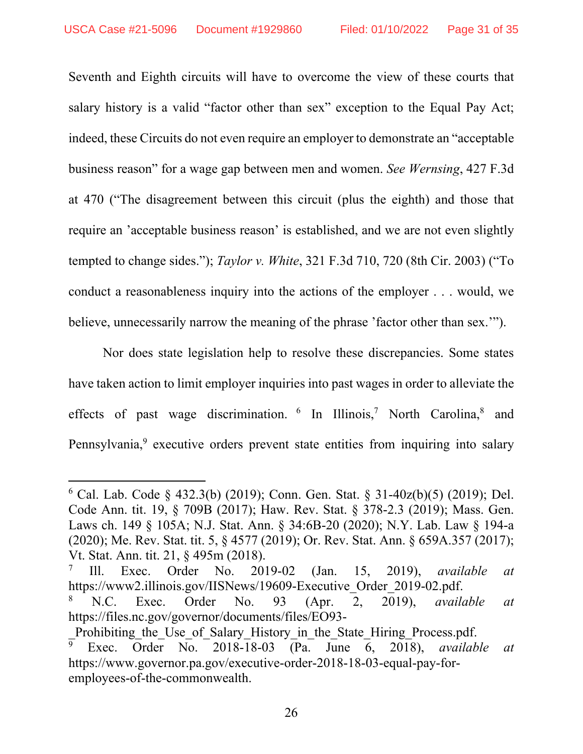Seventh and Eighth circuits will have to overcome the view of these courts that salary history is a valid "factor other than sex" exception to the Equal Pay Act; indeed, these Circuits do not even require an employer to demonstrate an "acceptable business reason" for a wage gap between men and women. *See Wernsing*, 427 F.3d at 470 ("The disagreement between this circuit (plus the eighth) and those that require an 'acceptable business reason' is established, and we are not even slightly tempted to change sides."); *Taylor v. White*, 321 F.3d 710, 720 (8th Cir. 2003) ("To conduct a reasonableness inquiry into the actions of the employer . . . would, we believe, unnecessarily narrow the meaning of the phrase 'factor other than sex.'").

Nor does state legislation help to resolve these discrepancies. Some states have taken action to limit employer inquiries into past wages in order to alleviate the effects of past wage discrimination.  $6 \text{ In Illinois},^7 \text{North Carolina},^8 \text{ and}^8$ Pennsylvania,<sup>9</sup> executive orders prevent state entities from inquiring into salary

<sup>6</sup> Cal. Lab. Code § 432.3(b) (2019); Conn. Gen. Stat. § 31-40z(b)(5) (2019); Del. Code Ann. tit. 19, § 709B (2017); Haw. Rev. Stat. § 378-2.3 (2019); Mass. Gen. Laws ch. 149 § 105A; N.J. Stat. Ann. § 34:6B-20 (2020); N.Y. Lab. Law § 194-a (2020); Me. Rev. Stat. tit. 5, § 4577 (2019); Or. Rev. Stat. Ann. § 659A.357 (2017); Vt. Stat. Ann. tit. 21, § 495m (2018).

<sup>7</sup> Ill. Exec. Order No. 2019-02 (Jan. 15, 2019), *available at* https://www2.illinois.gov/IISNews/19609-Executive Order 2019-02.pdf.

<sup>8</sup> N.C. Exec. Order No. 93 (Apr. 2, 2019), *available at* https://files.nc.gov/governor/documents/files/EO93-

Prohibiting the Use of Salary History in the State Hiring Process.pdf. 9 Exec. Order No. 2018-18-03 (Pa. June 6, 2018), *available at* https://www.governor.pa.gov/executive-order-2018-18-03-equal-pay-foremployees-of-the-commonwealth.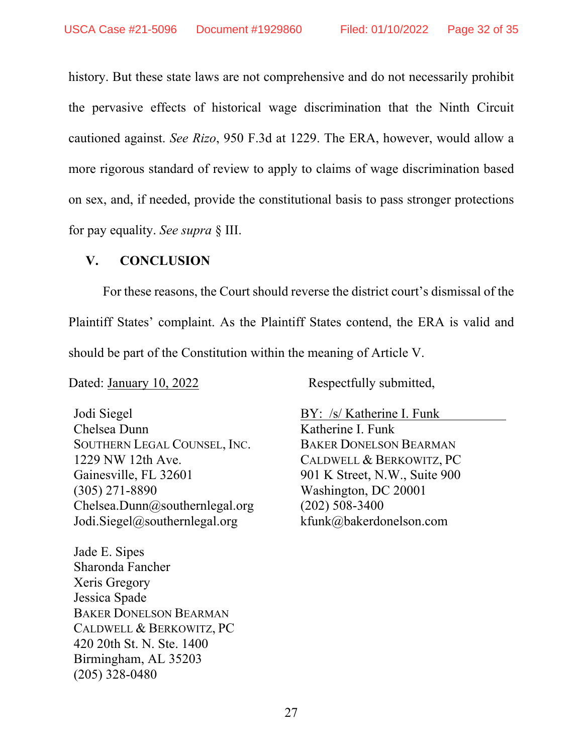history. But these state laws are not comprehensive and do not necessarily prohibit the pervasive effects of historical wage discrimination that the Ninth Circuit cautioned against. *See Rizo*, 950 F.3d at 1229. The ERA, however, would allow a more rigorous standard of review to apply to claims of wage discrimination based on sex, and, if needed, provide the constitutional basis to pass stronger protections for pay equality. *See supra* § III.

#### **V. CONCLUSION**

For these reasons, the Court should reverse the district court's dismissal of the Plaintiff States' complaint. As the Plaintiff States contend, the ERA is valid and should be part of the Constitution within the meaning of Article V.

Dated: January 10, 2022 Respectfully submitted,

Jodi Siegel Chelsea Dunn SOUTHERN LEGAL COUNSEL, INC. 1229 NW 12th Ave. Gainesville, FL 32601 (305) 271-8890 Chelsea.Dunn@southernlegal.org Jodi.Siegel@southernlegal.org

Jade E. Sipes Sharonda Fancher Xeris Gregory Jessica Spade BAKER DONELSON BEARMAN CALDWELL & BERKOWITZ, PC 420 20th St. N. Ste. 1400 Birmingham, AL 35203 (205) 328-0480

BY: /s/ Katherine I. Funk Katherine I. Funk BAKER DONELSON BEARMAN CALDWELL & BERKOWITZ, PC 901 K Street, N.W., Suite 900 Washington, DC 20001 (202) 508-3400 kfunk@bakerdonelson.com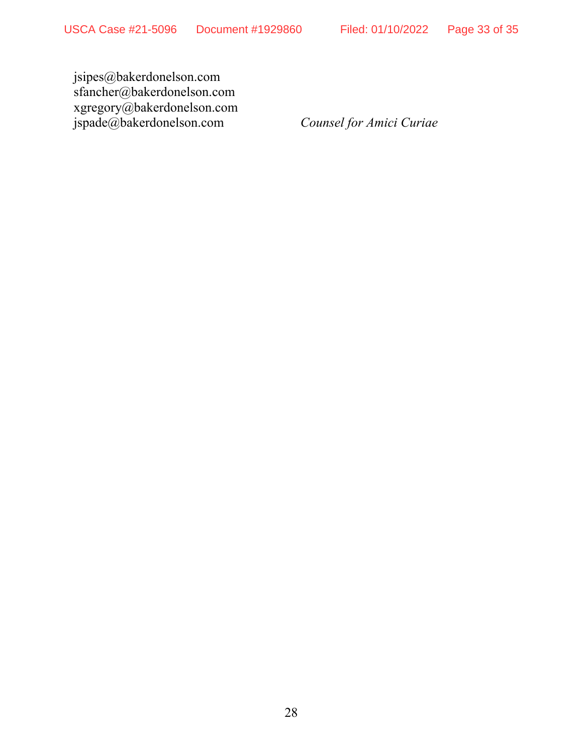jsipes@bakerdonelson.com sfancher@bakerdonelson.com xgregory@bakerdonelson.com jspade@bakerdonelson.com *Counsel for Amici Curiae*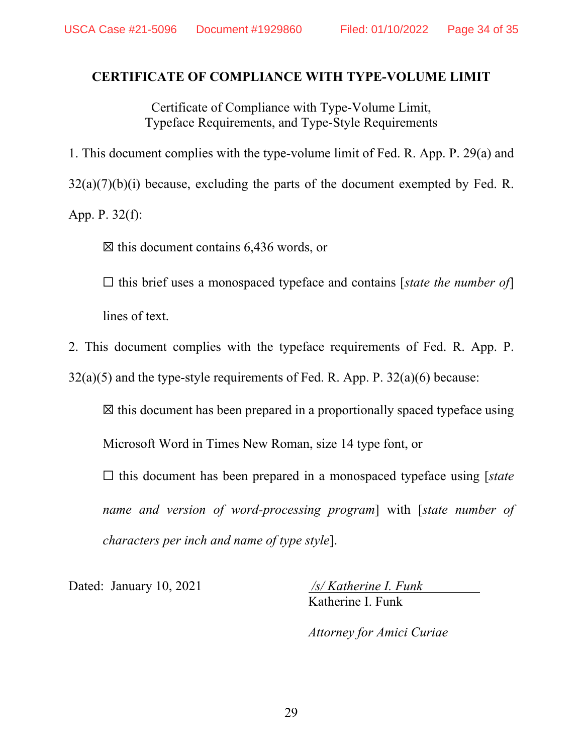#### **CERTIFICATE OF COMPLIANCE WITH TYPE-VOLUME LIMIT**

Certificate of Compliance with Type-Volume Limit, Typeface Requirements, and Type-Style Requirements

1. This document complies with the type-volume limit of Fed. R. App. P. 29(a) and

 $32(a)(7)(b)(i)$  because, excluding the parts of the document exempted by Fed. R.

App. P. 32(f):

 $\boxtimes$  this document contains 6,436 words, or

☐ this brief uses a monospaced typeface and contains [*state the number of*]

lines of text.

2. This document complies with the typeface requirements of Fed. R. App. P.

 $32(a)(5)$  and the type-style requirements of Fed. R. App. P.  $32(a)(6)$  because:

 $\boxtimes$  this document has been prepared in a proportionally spaced typeface using

Microsoft Word in Times New Roman, size 14 type font, or

☐ this document has been prepared in a monospaced typeface using [*state name and version of word-processing program*] with [*state number of characters per inch and name of type style*].

Dated: January 10, 2021 */s/ Katherine I. Funk*  Katherine I. Funk

*Attorney for Amici Curiae*